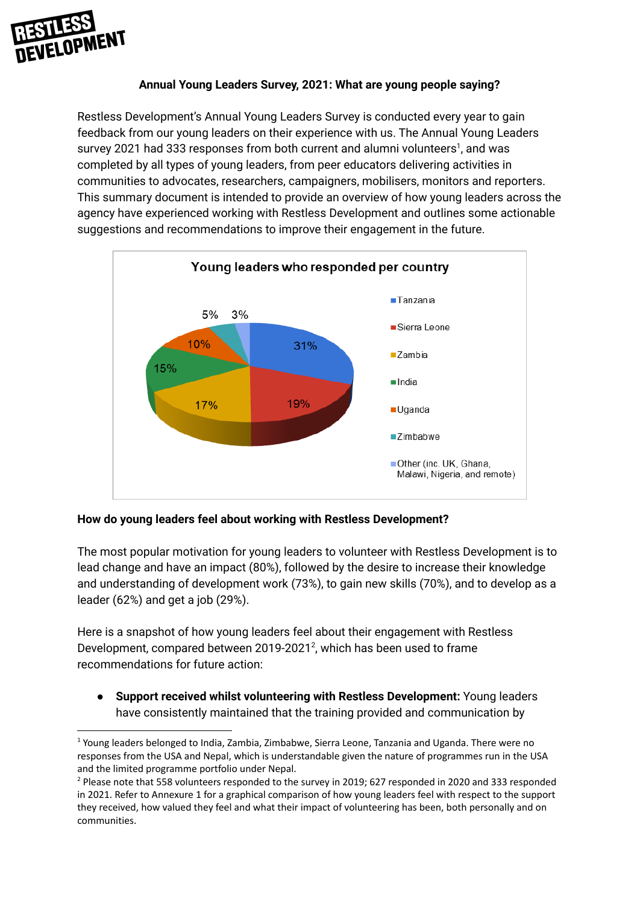

## **Annual Young Leaders Survey, 2021: What are young people saying?**

Restless Development's Annual Young Leaders Survey is conducted every year to gain feedback from our young leaders on their experience with us. The Annual Young Leaders survey 2021 had 333 responses from both current and alumni volunteers<sup>1</sup>, and was completed by all types of young leaders, from peer educators delivering activities in communities to advocates, researchers, campaigners, mobilisers, monitors and reporters. This summary document is intended to provide an overview of how young leaders across the agency have experienced working with Restless Development and outlines some actionable suggestions and recommendations to improve their engagement in the future.



## **How do young leaders feel about working with Restless Development?**

The most popular motivation for young leaders to volunteer with Restless Development is to lead change and have an impact (80%), followed by the desire to increase their knowledge and understanding of development work (73%), to gain new skills (70%), and to develop as a leader (62%) and get a job (29%).

Here is a snapshot of how young leaders feel about their engagement with Restless Development, compared between 2019-2021<sup>2</sup>, which has been used to frame recommendations for future action:

● **Support received whilst volunteering with Restless Development:** Young leaders have consistently maintained that the training provided and communication by

<sup>&</sup>lt;sup>1</sup> Young leaders belonged to India, Zambia, Zimbabwe, Sierra Leone, Tanzania and Uganda. There were no responses from the USA and Nepal, which is understandable given the nature of programmes run in the USA and the limited programme portfolio under Nepal.

<sup>&</sup>lt;sup>2</sup> Please note that 558 volunteers responded to the survey in 2019; 627 responded in 2020 and 333 responded in 2021. Refer to Annexure 1 for a graphical comparison of how young leaders feel with respect to the support they received, how valued they feel and what their impact of volunteering has been, both personally and on communities.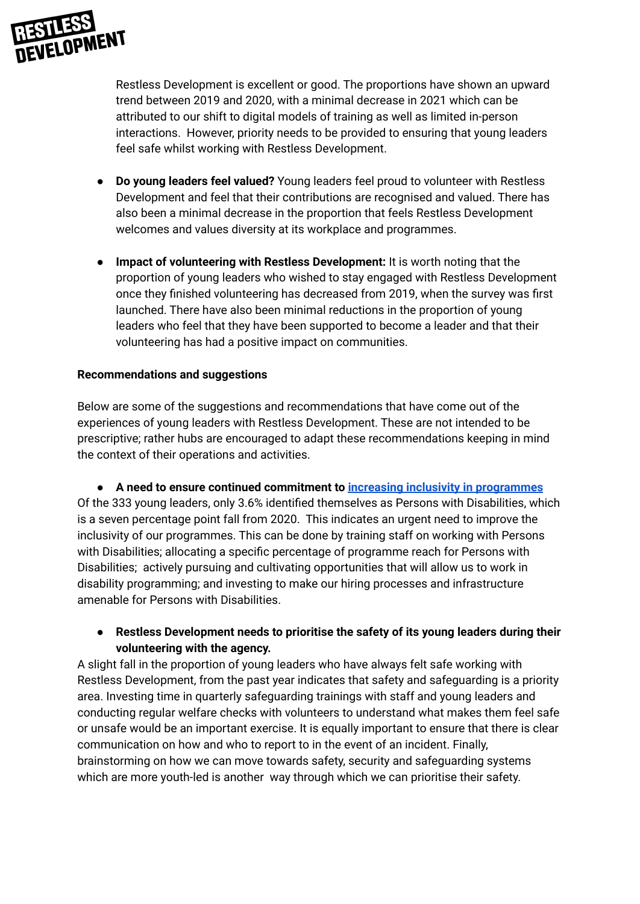

Restless Development is excellent or good. The proportions have shown an upward trend between 2019 and 2020, with a minimal decrease in 2021 which can be attributed to our shift to digital models of training as well as limited in-person interactions. However, priority needs to be provided to ensuring that young leaders feel safe whilst working with Restless Development.

- **Do young leaders feel valued?** Young leaders feel proud to volunteer with Restless Development and feel that their contributions are recognised and valued. There has also been a minimal decrease in the proportion that feels Restless Development welcomes and values diversity at its workplace and programmes.
- **Impact of volunteering with Restless Development:** It is worth noting that the proportion of young leaders who wished to stay engaged with Restless Development once they finished volunteering has decreased from 2019, when the survey was first launched. There have also been minimal reductions in the proportion of young leaders who feel that they have been supported to become a leader and that their volunteering has had a positive impact on communities.

## **Recommendations and suggestions**

Below are some of the suggestions and recommendations that have come out of the experiences of young leaders with Restless Development. These are not intended to be prescriptive; rather hubs are encouraged to adapt these recommendations keeping in mind the context of their operations and activities.

**● A need to ensure continued commitment to increasing inclusivity in [programmes](https://docs.google.com/document/d/10nyzCEuok6CqYw95D7HxvIWZAnC0Zeq_1_dWYWAnUVE/edit?usp=sharing)** Of the 333 young leaders, only 3.6% identified themselves as Persons with Disabilities, which is a seven percentage point fall from 2020. This indicates an urgent need to improve the inclusivity of our programmes. This can be done by training staff on working with Persons with Disabilities; allocating a specific percentage of programme reach for Persons with Disabilities; actively pursuing and cultivating opportunities that will allow us to work in disability programming; and investing to make our hiring processes and infrastructure amenable for Persons with Disabilities.

# **● Restless Development needs to prioritise the safety of its young leaders during their volunteering with the agency.**

A slight fall in the proportion of young leaders who have always felt safe working with Restless Development, from the past year indicates that safety and safeguarding is a priority area. Investing time in quarterly safeguarding trainings with staff and young leaders and conducting regular welfare checks with volunteers to understand what makes them feel safe or unsafe would be an important exercise. It is equally important to ensure that there is clear communication on how and who to report to in the event of an incident. Finally, brainstorming on how we can move towards safety, security and safeguarding systems which are more youth-led is another way through which we can prioritise their safety.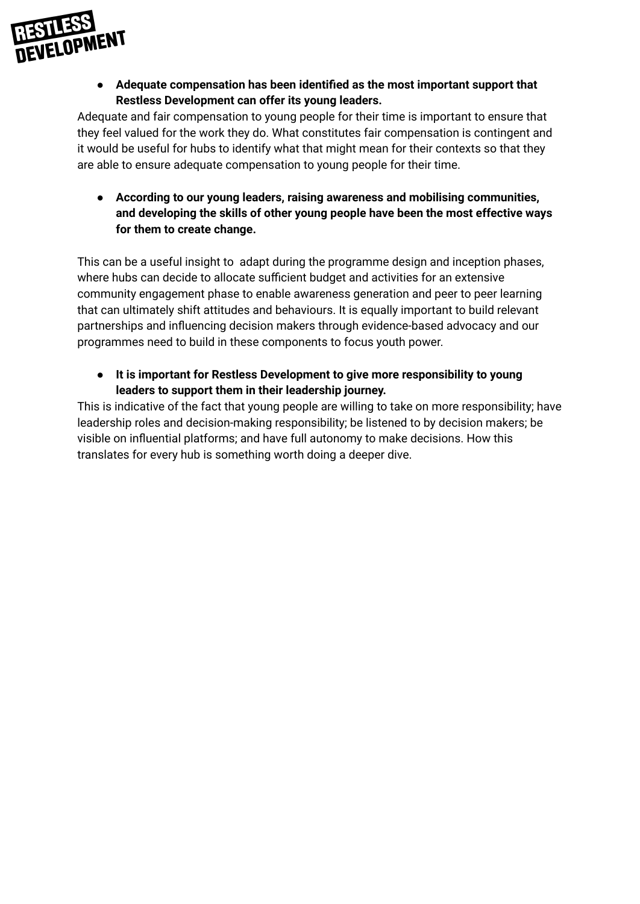

**● Adequate compensation has been identified as the most important support that Restless Development can offer its young leaders.**

Adequate and fair compensation to young people for their time is important to ensure that they feel valued for the work they do. What constitutes fair compensation is contingent and it would be useful for hubs to identify what that might mean for their contexts so that they are able to ensure adequate compensation to young people for their time.

**● According to our young leaders, raising awareness and mobilising communities, and developing the skills of other young people have been the most effective ways for them to create change.**

This can be a useful insight to adapt during the programme design and inception phases, where hubs can decide to allocate sufficient budget and activities for an extensive community engagement phase to enable awareness generation and peer to peer learning that can ultimately shift attitudes and behaviours. It is equally important to build relevant partnerships and influencing decision makers through evidence-based advocacy and our programmes need to build in these components to focus youth power.

**● It is important for Restless Development to give more responsibility to young leaders to support them in their leadership journey.**

This is indicative of the fact that young people are willing to take on more responsibility; have leadership roles and decision-making responsibility; be listened to by decision makers; be visible on influential platforms; and have full autonomy to make decisions. How this translates for every hub is something worth doing a deeper dive.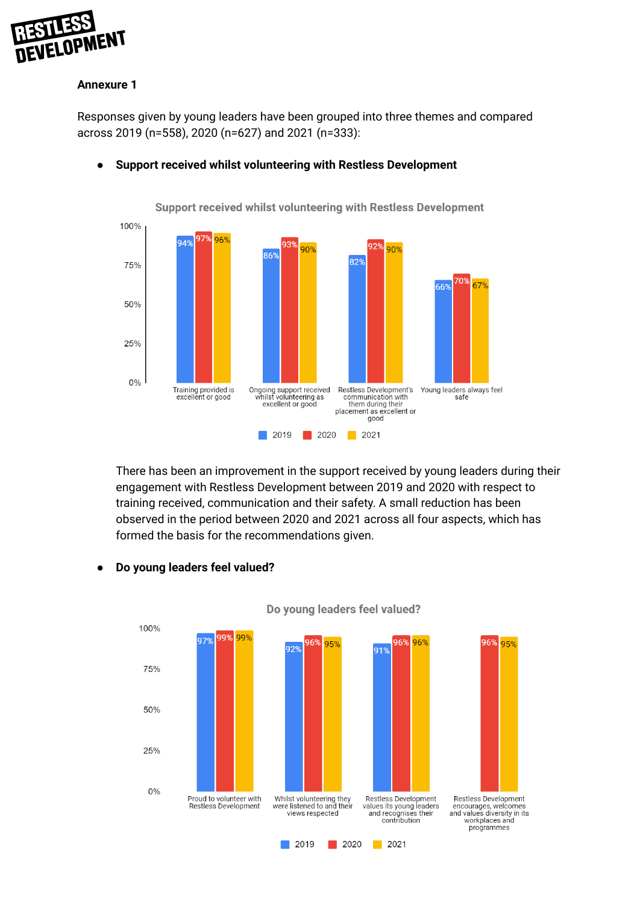

#### **Annexure 1**

Responses given by young leaders have been grouped into three themes and compared across 2019 (n=558), 2020 (n=627) and 2021 (n=333):



#### ● **Support received whilst volunteering with Restless Development**

There has been an improvement in the support received by young leaders during their engagement with Restless Development between 2019 and 2020 with respect to training received, communication and their safety. A small reduction has been observed in the period between 2020 and 2021 across all four aspects, which has formed the basis for the recommendations given.

#### **● Do young leaders feel valued?**



Do young leaders feel valued?